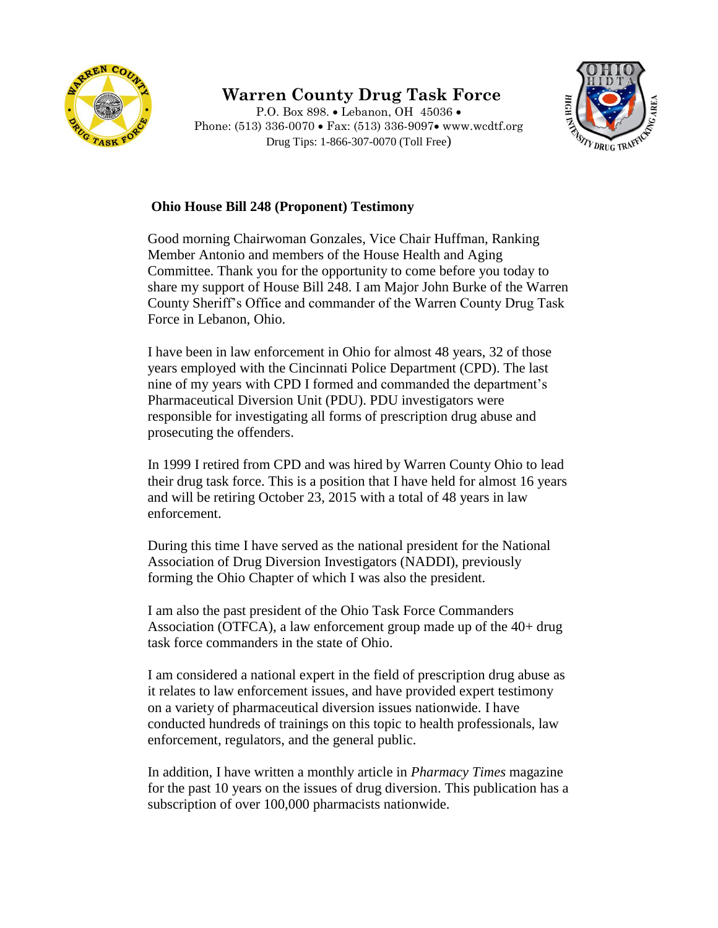

## **Warren County Drug Task Force**

P.O. Box 898. • Lebanon, OH 45036 • Phone: (513) 336-0070 • Fax: (513) 336-9097• www.wcdtf.org Drug Tips: 1-866-307-0070 (Toll Free)



## **Ohio House Bill 248 (Proponent) Testimony**

Good morning Chairwoman Gonzales, Vice Chair Huffman, Ranking Member Antonio and members of the House Health and Aging Committee. Thank you for the opportunity to come before you today to share my support of House Bill 248. I am Major John Burke of the Warren County Sheriff's Office and commander of the Warren County Drug Task Force in Lebanon, Ohio.

I have been in law enforcement in Ohio for almost 48 years, 32 of those years employed with the Cincinnati Police Department (CPD). The last nine of my years with CPD I formed and commanded the department's Pharmaceutical Diversion Unit (PDU). PDU investigators were responsible for investigating all forms of prescription drug abuse and prosecuting the offenders.

In 1999 I retired from CPD and was hired by Warren County Ohio to lead their drug task force. This is a position that I have held for almost 16 years and will be retiring October 23, 2015 with a total of 48 years in law enforcement.

During this time I have served as the national president for the National Association of Drug Diversion Investigators (NADDI), previously forming the Ohio Chapter of which I was also the president.

I am also the past president of the Ohio Task Force Commanders Association (OTFCA), a law enforcement group made up of the 40+ drug task force commanders in the state of Ohio.

I am considered a national expert in the field of prescription drug abuse as it relates to law enforcement issues, and have provided expert testimony on a variety of pharmaceutical diversion issues nationwide. I have conducted hundreds of trainings on this topic to health professionals, law enforcement, regulators, and the general public.

In addition, I have written a monthly article in *Pharmacy Times* magazine for the past 10 years on the issues of drug diversion. This publication has a subscription of over 100,000 pharmacists nationwide.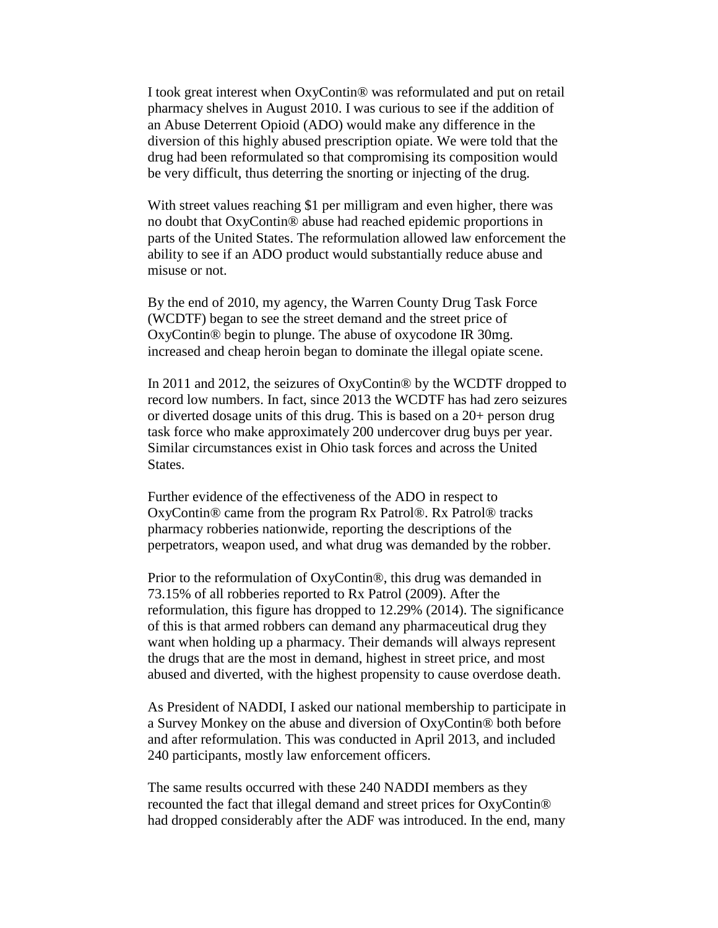I took great interest when OxyContin® was reformulated and put on retail pharmacy shelves in August 2010. I was curious to see if the addition of an Abuse Deterrent Opioid (ADO) would make any difference in the diversion of this highly abused prescription opiate. We were told that the drug had been reformulated so that compromising its composition would be very difficult, thus deterring the snorting or injecting of the drug.

With street values reaching \$1 per milligram and even higher, there was no doubt that OxyContin® abuse had reached epidemic proportions in parts of the United States. The reformulation allowed law enforcement the ability to see if an ADO product would substantially reduce abuse and misuse or not.

By the end of 2010, my agency, the Warren County Drug Task Force (WCDTF) began to see the street demand and the street price of OxyContin® begin to plunge. The abuse of oxycodone IR 30mg. increased and cheap heroin began to dominate the illegal opiate scene.

In 2011 and 2012, the seizures of OxyContin® by the WCDTF dropped to record low numbers. In fact, since 2013 the WCDTF has had zero seizures or diverted dosage units of this drug. This is based on a 20+ person drug task force who make approximately 200 undercover drug buys per year. Similar circumstances exist in Ohio task forces and across the United States.

Further evidence of the effectiveness of the ADO in respect to OxyContin® came from the program Rx Patrol®. Rx Patrol® tracks pharmacy robberies nationwide, reporting the descriptions of the perpetrators, weapon used, and what drug was demanded by the robber.

Prior to the reformulation of OxyContin®, this drug was demanded in 73.15% of all robberies reported to Rx Patrol (2009). After the reformulation, this figure has dropped to 12.29% (2014). The significance of this is that armed robbers can demand any pharmaceutical drug they want when holding up a pharmacy. Their demands will always represent the drugs that are the most in demand, highest in street price, and most abused and diverted, with the highest propensity to cause overdose death.

As President of NADDI, I asked our national membership to participate in a Survey Monkey on the abuse and diversion of OxyContin® both before and after reformulation. This was conducted in April 2013, and included 240 participants, mostly law enforcement officers.

The same results occurred with these 240 NADDI members as they recounted the fact that illegal demand and street prices for OxyContin® had dropped considerably after the ADF was introduced. In the end, many